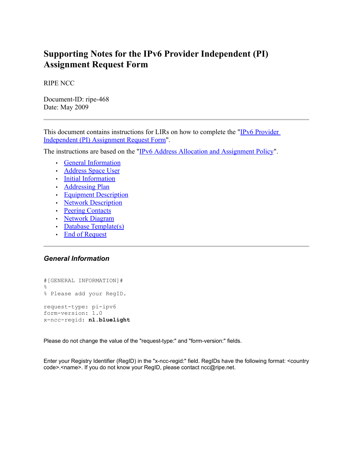# **Supporting Notes for the IPv6 Provider Independent (PI) Assignment Request Form**

RIPE NCC

Document-ID: ripe-468 Date: May 2009

This document contains instructions for LIRs on how to complete the "IPv6 [Provider](http://ripe.net/ripe/docs/ipv6-pi.html) [Independent](http://ripe.net/ripe/docs/ipv6-pi.html) (PI) Assignment Request Form".

The instructions are based on the "IPv6 Address Allocation and [Assignment](http://www.ripe.net/ripe/docs/ipv6-policy.html) Policy".

- General [Information](#page-0-1)
- [Address](#page-1-0) Space User
- Initial [Information](#page-2-1)
- [Addressing](#page-2-0) Plan
- <span id="page-0-0"></span>• Equipment [Description](#page-0-0)
- Network [Description](#page-3-0)
- Peering [Contacts](#page-4-2)
- [Network](#page-4-0) Diagram
- Database [Template\(s\)](#page-4-1)
- End of [Request](#page-5-0)

# <span id="page-0-1"></span>*General Information*

```
#[GENERAL INFORMATION]#
%
% Please add your RegID.
request-type: pi-ipv6
form-version: 1.0
x-ncc-regid: nl.bluelight
```
Please do not change the value of the "request-type:" and "form-version:" fields.

Enter your Registry Identifier (RegID) in the "x-ncc-regid:" field. RegIDs have the following format: <country code>.<name>. If you do not know your RegID, please contact ncc@ripe.net.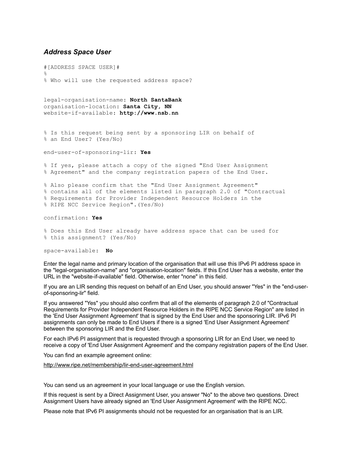## <span id="page-1-0"></span>*Address Space User*

#[ADDRESS SPACE USER]# % % Who will use the requested address space?

legal-organisation-name: **North SantaBank** organisation-location: **Santa City, NN** website-if-available: **http://www.nsb.nn**

% Is this request being sent by a sponsoring LIR on behalf of % an End User? (Yes/No)

end-user-of-sponsoring-lir: **Yes**

% If yes, please attach a copy of the signed "End User Assignment % Agreement" and the company registration papers of the End User.

% Also please confirm that the "End User Assignment Agreement" % contains all of the elements listed in paragraph 2.0 of "Contractual % Requirements for Provider Independent Resource Holders in the % RIPE NCC Service Region".(Yes/No)

confirmation: **Yes**

% Does this End User already have address space that can be used for % this assignment? (Yes/No)

space-available: **No**

Enter the legal name and primary location of the organisation that will use this IPv6 PI address space in the "legal-organisation-name" and "organisation-location" fields. If this End User has a website, enter the URL in the "website-if-available" field. Otherwise, enter "none" in this field.

If you are an LIR sending this request on behalf of an End User, you should answer "Yes" in the "end-userof-sponsoring-lir" field.

If you answered "Yes" you should also confirm that all of the elements of paragraph 2.0 of "Contractual Requirements for Provider Independent Resource Holders in the RIPE NCC Service Region" are listed in the 'End User Assignment Agreement' that is signed by the End User and the sponsoring LIR. IPv6 PI assignments can only be made to End Users if there is a signed 'End User Assignment Agreement' between the sponsoring LIR and the End User.

For each IPv6 PI assignment that is requested through a sponsoring LIR for an End User, we need to receive a copy of 'End User Assignment Agreement' and the company registration papers of the End User.

You can find an example agreement online:

<http://www.ripe.net/membership/lir-end-user-agreement.html>

You can send us an agreement in your local language or use the English version.

If this request is sent by a Direct Assignment User, you answer "No" to the above two questions. Direct Assignment Users have already signed an 'End User Assignment Agreement' with the RIPE NCC.

Please note that IPv6 PI assignments should not be requested for an organisation that is an LIR.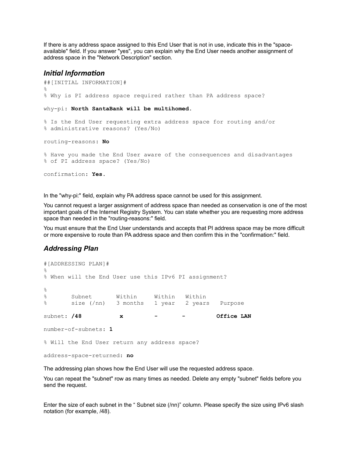If there is any address space assigned to this End User that is not in use, indicate this in the "spaceavailable" field. If you answer "yes", you can explain why the End User needs another assignment of address space in the "Network Description" section.

#### <span id="page-2-1"></span>*Initial Information*

```
##[INITIAL INFORMATION]#
\approx% Why is PI address space required rather than PA address space?
why-pi: North SantaBank will be multihomed.
% Is the End User requesting extra address space for routing and/or
% administrative reasons? (Yes/No)
routing-reasons: No
% Have you made the End User aware of the consequences and disadvantages
% of PI address space? (Yes/No)
confirmation: Yes.
```
In the "why-pi:" field, explain why PA address space cannot be used for this assignment.

You cannot request a larger assignment of address space than needed as conservation is one of the most important goals of the Internet Registry System. You can state whether you are requesting more address space than needed in the "routing-reasons:" field.

You must ensure that the End User understands and accepts that PI address space may be more difficult or more expensive to route than PA address space and then confirm this in the "confirmation:" field.

# <span id="page-2-0"></span>*Addressing Plan*

```
#[ADDRESSING PLAN]#
\approx% When will the End User use this IPv6 PI assignment?
%
% Subnet Within Within Within
% size (/nn) 3 months 1 year 2 years Purpose
subnet: /48 x - - Office LAN
number-of-subnets: 1
% Will the End User return any address space?
address-space-returned: no
```
The addressing plan shows how the End User will use the requested address space.

You can repeat the "subnet" row as many times as needed. Delete any empty "subnet" fields before you send the request.

Enter the size of each subnet in the " Subnet size (/nn)" column. Please specify the size using IPv6 slash notation (for example, /48).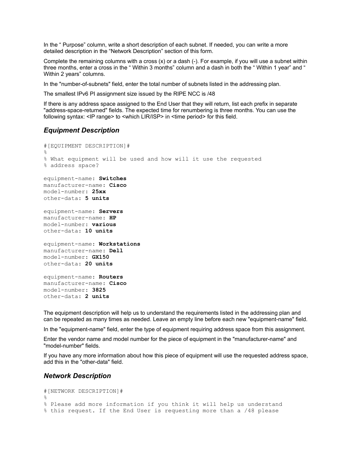In the " Purpose" column, write a short description of each subnet. If needed, you can write a more detailed description in the "Network Description" section of this form.

Complete the remaining columns with a cross (x) or a dash (-). For example, if you will use a subnet within three months, enter a cross in the " Within 3 months" column and a dash in both the " Within 1 year" and " Within 2 years" columns.

In the "number-of-subnets" field, enter the total number of subnets listed in the addressing plan.

The smallest IPv6 PI assignment size issued by the RIPE NCC is /48

If there is any address space assigned to the End User that they will return, list each prefix in separate "address-space-returned" fields. The expected time for renumbering is three months. You can use the following syntax: <IP range> to <which LIR/ISP> in <time period> for this field.

# *Equipment Description*

```
#[EQUIPMENT DESCRIPTION]#
%
% What equipment will be used and how will it use the requested
% address space?
equipment-name: Switches
manufacturer-name: Cisco
model-number: 25xx
other-data: 5 units
equipment-name: Servers
manufacturer-name: HP
model-number: various
other-data: 10 units
equipment-name: Workstations
manufacturer-name: Dell
model-number: GX150
other-data: 20 units
equipment-name: Routers
manufacturer-name: Cisco
model-number: 3825
other-data: 2 units
```
The equipment description will help us to understand the requirements listed in the addressing plan and can be repeated as many times as needed. Leave an empty line before each new "equipment-name" field.

In the "equipment-name" field, enter the type of equipment requiring address space from this assignment.

Enter the vendor name and model number for the piece of equipment in the "manufacturer-name" and "model-number" fields.

If you have any more information about how this piece of equipment will use the requested address space, add this in the "other-data" field.

#### <span id="page-3-0"></span>*Network Description*

```
#[NETWORK DESCRIPTION]#
%
% Please add more information if you think it will help us understand
% this request. If the End User is requesting more than a /48 please
```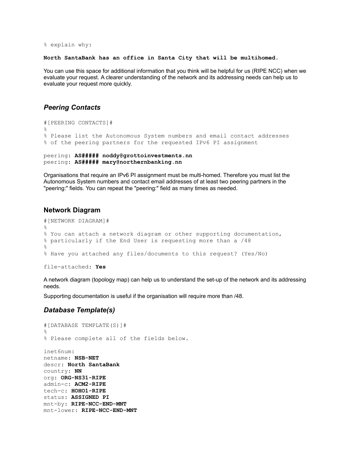% explain why:

**North SantaBank has an office in Santa City that will be multihomed.**

You can use this space for additional information that you think will be helpful for us (RIPE NCC) when we evaluate your request. A clearer understanding of the network and its addressing needs can help us to evaluate your request more quickly.

# <span id="page-4-2"></span>*Peering Contacts*

```
#[PEERING CONTACTS]#
\approx% Please list the Autonomous System numbers and email contact addresses
% of the peering partners for the requested IPv6 PI assignment
peering: AS##### noddy@grottoinvestments.nn
```
peering: **AS##### mary@northernbanking.nn**

Organisations that require an IPv6 PI assignment must be multi-homed. Therefore you must list the Autonomous System numbers and contact email addresses of at least two peering partners in the "peering:" fields. You can repeat the "peering:" field as many times as needed.

#### <span id="page-4-0"></span>**Network Diagram**

```
#[NETWORK DIAGRAM]#
%
% You can attach a network diagram or other supporting documentation,
% particularly if the End User is requesting more than a /48
%
% Have you attached any files/documents to this request? (Yes/No)
```
file-attached: **Yes**

A network diagram (topology map) can help us to understand the set-up of the network and its addressing needs.

Supporting documentation is useful if the organisation will require more than /48.

#### <span id="page-4-1"></span>*Database Template(s)*

```
#[DATABASE TEMPLATE(S)]#
%
% Please complete all of the fields below.
inet6num:
netname: NSB-NET
descr: North SantaBank
country: NN
org: ORG-NS31-RIPE
admin-c: ACM2-RIPE
tech-c: HOHO1-RIPE
status: ASSIGNED PI
mnt-by: RIPE-NCC-END-MNT
mnt-lower: RIPE-NCC-END-MNT
```